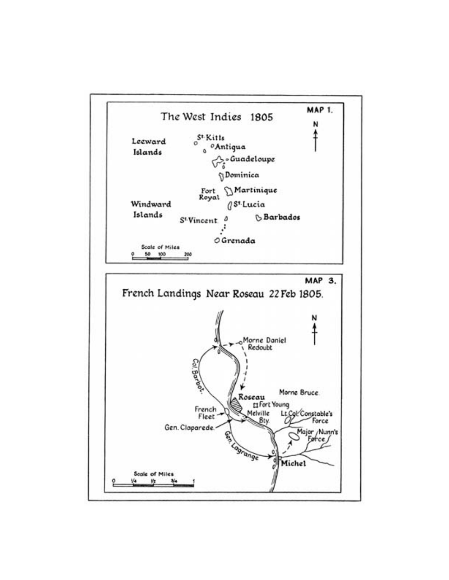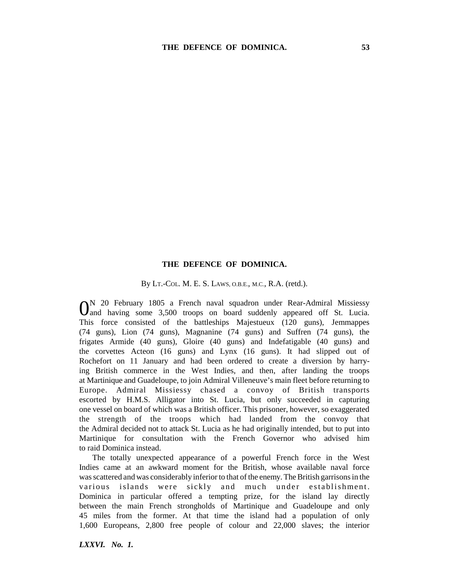## **THE DEFENCE OF DOMINICA.**

By LT.-COL. M. E. S. LAWS, O.B.E., M.C., R.A. (retd.).

0N 20 February 1805 a French naval squadron under Rear-Admiral Missiessy and having some 3,500 troops on board suddenly appeared off St. Lucia. This force consisted of the battleships Majestueux (120 guns), Jemmappes (74 guns), Lion (74 guns), Magnanine (74 guns) and Suffren (74 guns), the frigates Armide (40 guns), Gloire (40 guns) and Indefatigable (40 guns) and the corvettes Acteon (16 guns) and Lynx (16 guns). It had slipped out of Rochefort on 11 January and had been ordered to create a diversion by harrying British commerce in the West Indies, and then, after landing the troops at Martinique and Guadeloupe, to join Admiral Villeneuve's main fleet before returning to Europe. Admiral Missiessy chased a convoy of British transports escorted by H.M.S. Alligator into St. Lucia, but only succeeded in capturing one vessel on board of which was a British officer. This prisoner, however, so exaggerated the strength of the troops which had landed from the convoy that the Admiral decided not to attack St. Lucia as he had originally intended, but to put into Martinique for consultation with the French Governor who advised him to raid Dominica instead.

The totally unexpected appearance of a powerful French force in the West Indies came at an awkward moment for the British, whose available naval force was scattered and was considerably inferior to that of the enemy. The British garrisons in the various islands were sickly and much under establishment. Dominica in particular offered a tempting prize, for the island lay directly between the main French strongholds of Martinique and Guadeloupe and only 45 miles from the former. At that time the island had a population of only 1,600 Europeans, 2,800 free people of colour and 22,000 slaves; the interior

*LXXVI. No. 1.*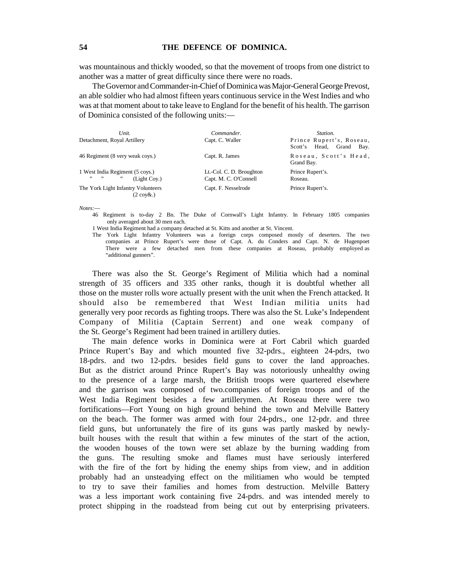was mountainous and thickly wooded, so that the movement of troops from one district to another was a matter of great difficulty since there were no roads.

The Governor and Commander-in-Chief of Dominica was Major-General George Prevost, an able soldier who had almost fifteen years continuous service in the West Indies and who was at that moment about to take leave to England for the benefit of his health. The garrison of Dominica consisted of the following units:—

| Unit.<br>Detachment, Royal Artillery                           | Commander.<br>Capt. C. Waller                     | Station.<br>Prince Rupert's, Roseau,<br>Scott's Head, Grand<br>Bay. |
|----------------------------------------------------------------|---------------------------------------------------|---------------------------------------------------------------------|
| 46 Regiment (8 very weak coys.)                                | Capt. R. James                                    | Roseau, Scott's Head,<br>Grand Bay.                                 |
| 1 West India Regiment (5 coys.)<br>99 99<br>,,<br>(Light Cov.) | Lt.-Col. C. D. Broughton<br>Capt. M. C. O'Connell | Prince Rupert's.<br>Roseau.                                         |
| The York Light Infantry Volunteers<br>$(2 \cos \alpha)$        | Capt. F. Nesselrode                               | Prince Rupert's.                                                    |

*Notes:*—

46 Regiment is to-day 2 Bn. The Duke of Cornwall's Light Infantry. In February 1805 companies only averaged about 30 men each.

1 West India Regiment had a company detached at St. Kitts and another at St. Vincent.

The York Light Infantry Volunteers was a foreign corps composed mostly of deserters. The two companies at Prince Rupert's were those of Capt. A. du Conders and Capt. N. de Hugenpoet There were a few detached men from these companies at Roseau, probably employed as "additional gunners".

There was also the St. George's Regiment of Militia which had a nominal strength of 35 officers and 335 other ranks, though it is doubtful whether all those on the muster rolls wore actually present with the unit when the French attacked. It should also be remembered that West Indian militia units had generally very poor records as fighting troops. There was also the St. Luke's Independent Company of Militia (Captain Serrent) and one weak company of the St. George's Regiment had been trained in artillery duties.

The main defence works in Dominica were at Fort Cabril which guarded Prince Rupert's Bay and which mounted five 32-pdrs., eighteen 24-pdrs, two 18-pdrs. and two 12-pdrs. besides field guns to cover the land approaches. But as the district around Prince Rupert's Bay was notoriously unhealthy owing to the presence of a large marsh, the British troops were quartered elsewhere and the garrison was composed of two.companies of foreign troops and of the West India Regiment besides a few artillerymen. At Roseau there were two fortifications—Fort Young on high ground behind the town and Melville Battery on the beach. The former was armed with four 24-pdrs., one 12-pdr. and three field guns, but unfortunately the fire of its guns was partly masked by newlybuilt houses with the result that within a few minutes of the start of the action, the wooden houses of the town were set ablaze by the burning wadding from the guns. The resulting smoke and flames must have seriously interfered with the fire of the fort by hiding the enemy ships from view, and in addition probably had an unsteadying effect on the militiamen who would be tempted to try to save their families and homes from destruction. Melville Battery was a less important work containing five 24-pdrs. and was intended merely to protect shipping in the roadstead from being cut out by enterprising privateers.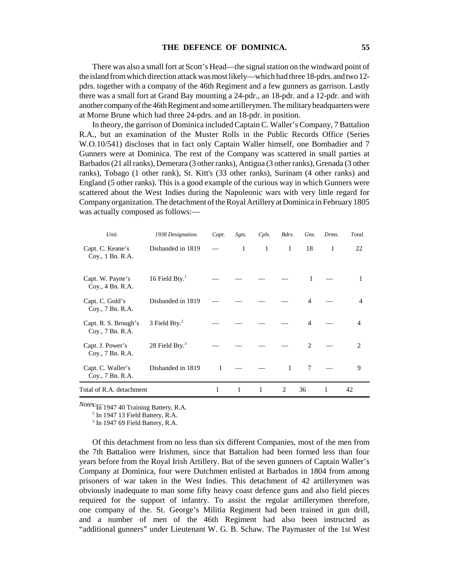There was also a small fort at Scott's Head—the signal station on the windward point of the island from which direction attack was most likely—which had three 18-pdrs. and two 12 pdrs. together with a company of the 46th Regiment and a few gunners as garrison. Lastly there was a small fort at Grand Bay mounting a 24-pdr., an 18-pdr. and a 12-pdr. and with another company of the 46th Regiment and some artillerymen. The military headquarters were at Morne Brune which had three 24-pdrs. and an 18-pdr. in position.

In theory, the garrison of Dominica included Captain C. Waller's Company, 7 Battalion R.A., but an examination of the Muster Rolls in the Public Records Office (Series W.O.10/541) discloses that in fact only Captain Waller himself, one Bombadier and 7 Gunners were at Dominica. The rest of the Company was scattered in small parties at Barbados (21 all ranks), Demerara (3 other ranks), Antigua (3 other ranks), Grenada (3 other ranks), Tobago (1 other rank), St. Kitt's (33 other ranks), Surinam (4 other ranks) and England (5 other ranks). This is a good example of the curious way in which Gunners were scattered about the West Indies during the Napoleonic wars with very little regard for Company organization. The detachment of the Royal Artillery at Dominica in February 1805 was actually composed as follows:—

| Unit.                                    | 1938 Designation. | Capt. | Sgts.        | Cpls.        | Bdrs.          | Gns.           | Drms. | Total.         |
|------------------------------------------|-------------------|-------|--------------|--------------|----------------|----------------|-------|----------------|
| Capt. C. Keane's<br>Coy., 1 Bn. R.A.     | Disbanded in 1819 |       | $\mathbf{1}$ | $\mathbf{1}$ | 1              | 18             | 1     | 22             |
| Capt. W. Payne's<br>Coy., 4 Bn. R.A.     | 16 Field Bty. $1$ |       |              |              |                | 1              |       | 1              |
| Capt. C. Gold's<br>Coy., 7 Bn. R.A.      | Disbanded in 1819 |       |              |              |                | $\overline{4}$ |       | 4              |
| Capt. R. S. Brough's<br>Coy., 7 Bn. R.A. | 3 Field Bty. $2$  |       |              |              |                | $\overline{4}$ |       | $\overline{4}$ |
| Capt. J. Power's<br>Coy., 7 Bn. R.A.     | 28 Field Bty. $3$ |       |              |              |                | $\overline{2}$ |       | 2              |
| Capt. C. Waller's<br>Coy., 7 Bn. R.A.    | Disbanded in 1819 | 1     |              |              | $\mathbf{1}$   | 7              |       | 9              |
| Total of R.A. detachment                 |                   | 1     | 1            | 1            | $\overline{c}$ | 36             | 1     | 42             |

*Notes:* In 1947 40 Training Battery, R.A.

 $2$  In 1947 13 Field Battery, R.A.

<sup>3</sup> In 1947 69 Field Battery, R.A.

Of this detachment from no less than six different Companies, most of the men from the 7th Battalion were Irishmen, since that Battalion had been formed less than four years before from the Royal Irish Artillery. But of the seven gunners of Captain Waller's Company at Dominica, four were Dutchmen enlisted at Barbados in 1804 from among prisoners of war taken in the West Indies. This detachment of 42 artillerymen was obviously inadequate to man some fifty heavy coast defence guns and also field pieces required for the support of infantry. To assist the regular artillerymen therefore, one company of the. St. George's Militia Regiment had been trained in gun drill, and a number of men of the 46th Regiment had also been instructed as "additional gunners" under Lieutenant W. G. B. Schaw. The Paymaster of the 1st West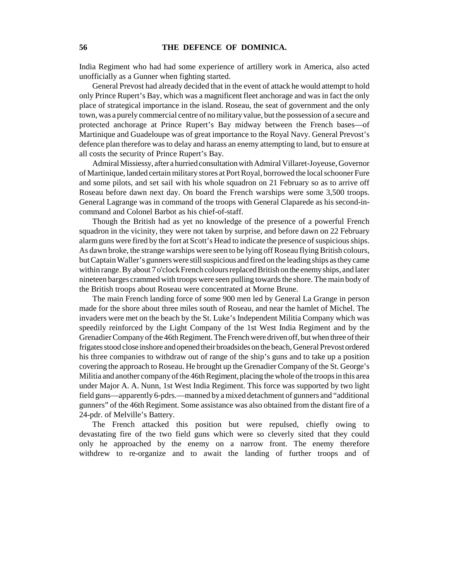India Regiment who had had some experience of artillery work in America, also acted unofficially as a Gunner when fighting started.

General Prevost had already decided that in the event of attack he would attempt to hold only Prince Rupert's Bay, which was a magnificent fleet anchorage and was in fact the only place of strategical importance in the island. Roseau, the seat of government and the only town, was a purely commercial centre of no military value, but the possession of a secure and protected anchorage at Prince Rupert's Bay midway between the French bases—of Martinique and Guadeloupe was of great importance to the Royal Navy. General Prevost's defence plan therefore was to delay and harass an enemy attempting to land, but to ensure at all costs the security of Prince Rupert's Bay.

Admiral Missiessy, after a hurried consultation with Admiral Villaret-Joyeuse, Governor of Martinique, landed certain military stores at Port Royal, borrowed the local schooner Fure and some pilots, and set sail with his whole squadron on 21 February so as to arrive off Roseau before dawn next day. On board the French warships were some 3,500 troops. General Lagrange was in command of the troops with General Claparede as his second-incommand and Colonel Barbot as his chief-of-staff.

Though the British had as yet no knowledge of the presence of a powerful French squadron in the vicinity, they were not taken by surprise, and before dawn on 22 February alarm guns were fired by the fort at Scott's Head to indicate the presence of suspicious ships. As dawn broke, the strange warships were seen to be lying off Roseau flying British colours, but Captain Waller's gunners were still suspicious and fired on the leading ships as they came within range. By about 7 o'clock French colours replaced British on the enemy ships, and later nineteen barges crammed with troops were seen pulling towards the shore. The main body of the British troops about Roseau were concentrated at Morne Brune.

The main French landing force of some 900 men led by General La Grange in person made for the shore about three miles south of Roseau, and near the hamlet of Michel. The invaders were met on the beach by the St. Luke's Independent Militia Company which was speedily reinforced by the Light Company of the 1st West India Regiment and by the Grenadier Company of the 46th Regiment. The French were driven off, but when three of their frigates stood close inshore and opened their broadsides on the beach, General Prevost ordered his three companies to withdraw out of range of the ship's guns and to take up a position covering the approach to Roseau. He brought up the Grenadier Company of the St. George's Militia and another company of the 46th Regiment, placing the whole of the troops in this area under Major A. A. Nunn, 1st West India Regiment. This force was supported by two light field guns—apparently 6-pdrs.—manned by a mixed detachment of gunners and "additional gunners" of the 46th Regiment. Some assistance was also obtained from the distant fire of a 24-pdr. of Melville's Battery.

The French attacked this position but were repulsed, chiefly owing to devastating fire of the two field guns which were so cleverly sited that they could only he approached by the enemy on a narrow front. The enemy therefore withdrew to re-organize and to await the landing of further troops and of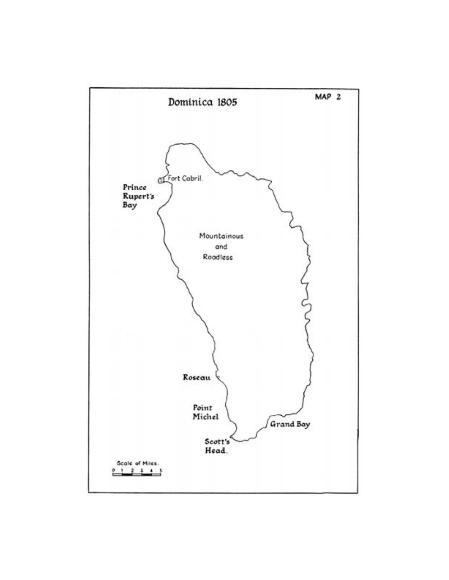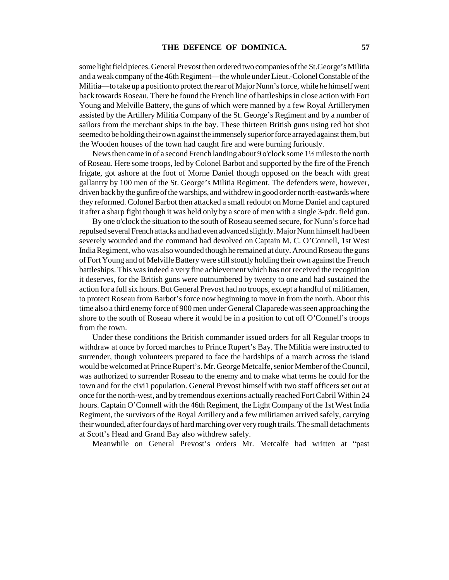some light field pieces. General Prevost then ordered two companies of the St.George's Militia and a weak company of the 46th Regiment—the whole under Lieut.-Colonel Constable of the Militia—to take up a position to protect the rear of Major Nunn's force, while he himself went back towards Roseau. There he found the French line of battleships in close action with Fort Young and Melville Battery, the guns of which were manned by a few Royal Artillerymen assisted by the Artillery Militia Company of the St. George's Regiment and by a number of sailors from the merchant ships in the bay. These thirteen British guns using red hot shot seemed to be holding their own against the immensely superior force arrayed against them, but the Wooden houses of the town had caught fire and were burning furiously.

News then came in of a second French landing about 9 o'clock some 1½ miles to the north of Roseau. Here some troops, led by Colonel Barbot and supported by the fire of the French frigate, got ashore at the foot of Morne Daniel though opposed on the beach with great gallantry by 100 men of the St. George's Militia Regiment. The defenders were, however, driven back by the gunfire of the warships, and withdrew in good order north-eastwards where they reformed. Colonel Barbot then attacked a small redoubt on Morne Daniel and captured it after a sharp fight though it was held only by a score of men with a single 3-pdr. field gun.

By one o'clock the situation to the south of Roseau seemed secure, for Nunn's force had repulsed several French attacks and had even advanced slightly. Major Nunn himself had been severely wounded and the command had devolved on Captain M. C. O'Connell, 1st West India Regiment, who was also wounded though he remained at duty. Around Roseau the guns of Fort Young and of Melville Battery were still stoutly holding their own against the French battleships. This was indeed a very fine achievement which has not received the recognition it deserves, for the British guns were outnumbered by twenty to one and had sustained the action for a full six hours. But General Prevost had no troops, except a handful of militiamen, to protect Roseau from Barbot's force now beginning to move in from the north. About this time also a third enemy force of 900 men under General Claparede was seen approaching the shore to the south of Roseau where it would be in a position to cut off O'Connell's troops from the town.

Under these conditions the British commander issued orders for all Regular troops to withdraw at once by forced marches to Prince Rupert's Bay. The Militia were instructed to surrender, though volunteers prepared to face the hardships of a march across the island would be welcomed at Prince Rupert's. Mr. George Metcalfe, senior Member of the Council, was authorized to surrender Roseau to the enemy and to make what terms he could for the town and for the civi1 population. General Prevost himself with two staff officers set out at once for the north-west, and by tremendous exertions actually reached Fort Cabril Within 24 hours. Captain O'Connell with the 46th Regiment, the Light Company of the 1st West India Regiment, the survivors of the Royal Artillery and a few militiamen arrived safely, carrying their wounded, after four days of hard marching over very rough trails. The small detachments at Scott's Head and Grand Bay also withdrew safely.

Meanwhile on General Prevost's orders Mr. Metcalfe had written at "past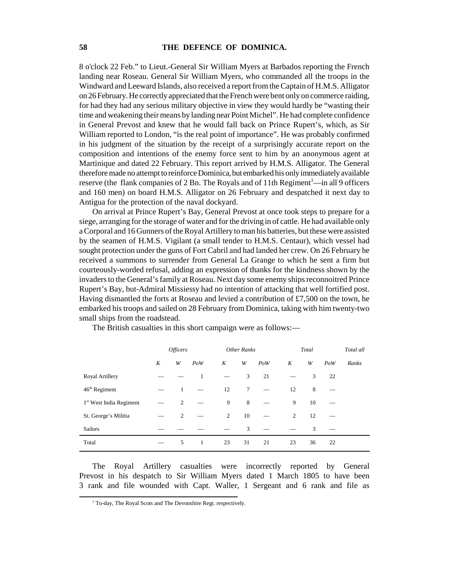8 o'clock 22 Feb." to Lieut.-General Sir William Myers at Barbados reporting the French landing near Roseau. General Sir William Myers, who commanded all the troops in the Windward and Leeward Islands, also received a report from the Captain of H.M.S. Alligator on 26 February. He correctly appreciated that the French were bent only on commerce raiding, for had they had any serious military objective in view they would hardly be "wasting their time and weakening their means by landing near Point Michel". He had complete confidence in General Prevost and knew that he would fall back on Prince Rupert's, which, as Sir William reported to London, "is the real point of importance". He was probably confirmed in his judgment of the situation by the receipt of a surprisingly accurate report on the composition and intentions of the enemy force sent to him by an anonymous agent at Martinique and dated 22 February. This report arrived by H.M.S. Alligator. The General therefore made no attempt to reinforce Dominica, but embarked his only immediately available reserve (the flank companies of 2 Bn. The Royals and of 11th Regiment<sup>1</sup>—in all 9 officers and 160 men) on board H.M.S. Alligator on 26 February and despatched it next day to Antigua for the protection of the naval dockyard.

On arrival at Prince Rupert's Bay, General Prevost at once took steps to prepare for a siege, arranging for the storage of water and for the driving in of cattle. He had available only a Corporal and 16 Gunners of the Royal Artillery to man his batteries, but these were assisted by the seamen of H.M.S. Vigilant (a small tender to H.M.S. Centaur), which vessel had sought protection under the guns of Fort Cabril and had landed her crew. On 26 February he received a summons to surrender from General La Grange to which he sent a firm but courteously-worded refusal, adding an expression of thanks for the kindness shown by the invaders to the General's family at Roseau. Next day some enemy ships reconnoitred Prince Rupert's Bay, but-Admiral Missiessy had no intention of attacking that well fortified post. Having dismantled the forts at Roseau and levied a contribution of £7,500 on the town, he embarked his troops and sailed on 28 February from Dominica, taking with him twenty-two small ships from the roadstead.

|                                     | <i><b>Officers</b></i> |   | Other Ranks  |    |        | Total |    |    | Total all |       |
|-------------------------------------|------------------------|---|--------------|----|--------|-------|----|----|-----------|-------|
|                                     | K                      | W | PoW          | K  | W      | PoW   | K  | W  | PoW       | Ranks |
| Royal Artillery                     |                        |   | 1            |    | 3      | 21    |    | 3  | 22        |       |
| 46 <sup>th</sup> Regiment           |                        | 1 |              | 12 | $\tau$ |       | 12 | 8  |           |       |
| 1 <sup>st</sup> West India Regiment |                        | 2 |              | 9  | 8      |       | 9  | 10 |           |       |
| St. George's Militia                |                        | 2 |              | 2  | 10     |       | 2  | 12 |           |       |
| <b>Sailors</b>                      |                        |   |              |    | 3      |       |    | 3  |           |       |
| Total                               |                        | 5 | $\mathbf{1}$ | 23 | 31     | 21    | 23 | 36 | 22        |       |

The British casualties in this short campaign were as follows:—

The Royal Artillery casualties were incorrectly reported by General Prevost in his despatch to Sir William Myers dated 1 March 1805 to have been 3 rank and file wounded with Capt. Waller, 1 Sergeant and 6 rank and file as

<sup>&</sup>lt;sup>1</sup> To-day, The Royal Scots and The Devonshire Regt. respectively.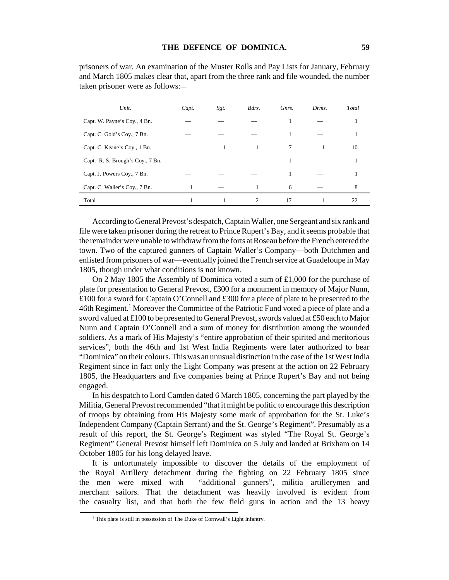prisoners of war. An examination of the Muster Rolls and Pay Lists for January, February and March 1805 makes clear that, apart from the three rank and file wounded, the number taken prisoner were as follows:—

| Unit.                            | Capt. | Sgt. | Bdrs. | Gnrs.  | Drms. | Total |
|----------------------------------|-------|------|-------|--------|-------|-------|
| Capt. W. Payne's Coy., 4 Bn.     |       |      |       |        |       |       |
| Capt. C. Gold's Coy., 7 Bn.      |       |      |       |        |       |       |
| Capt. C. Keane's Coy., 1 Bn.     |       |      |       | $\tau$ |       | 10    |
| Capt. R. S. Brough's Coy., 7 Bn. |       |      |       | 1      |       |       |
| Capt. J. Powers Coy., 7 Bn.      |       |      |       |        |       |       |
| Capt. C. Waller's Coy., 7 Bn.    |       |      |       | 6      |       | 8     |
| Total                            |       |      | 2     | 17     |       | 22    |

According to General Prevost's despatch, Captain Waller, one Sergeant and six rank and file were taken prisoner during the retreat to Prince Rupert's Bay, and it seems probable that the remainder were unable to withdraw from the forts at Roseau before the French entered the town. Two of the captured gunners of Captain Waller's Company—both Dutchmen and enlisted from prisoners of war—eventually joined the French service at Guadeloupe in May 1805, though under what conditions is not known.

On 2 May 1805 the Assembly of Dominica voted a sum of £1,000 for the purchase of plate for presentation to General Prevost, £300 for a monument in memory of Major Nunn, £100 for a sword for Captain O'Connell and £300 for a piece of plate to be presented to the 46th Regiment.<sup>1</sup> Moreover the Committee of the Patriotic Fund voted a piece of plate and a sword valued at £100 to be presented to General Prevost, swords valued at £50 each to Major Nunn and Captain O'Connell and a sum of money for distribution among the wounded soldiers. As a mark of His Majesty's "entire approbation of their spirited and meritorious services", both the 46th and 1st West India Regiments were later authorized to bear "Dominica" on their colours. This was an unusual distinction in the case of the 1st West India Regiment since in fact only the Light Company was present at the action on 22 February 1805, the Headquarters and five companies being at Prince Rupert's Bay and not being engaged.

In his despatch to Lord Camden dated 6 March 1805, concerning the part played by the Militia, General Prevost recommended "that it might be politic to encourage this description of troops by obtaining from His Majesty some mark of approbation for the St. Luke's Independent Company (Captain Serrant) and the St. George's Regiment". Presumably as a result of this report, the St. George's Regiment was styled "The Royal St. George's Regiment" General Prevost himself left Dominica on 5 July and landed at Brixham on 14 October 1805 for his long delayed leave.

It is unfortunately impossible to discover the details of the employment of the Royal Artillery detachment during the fighting on 22 February 1805 since the men were mixed with "additional gunners", militia artillerymen and merchant sailors. That the detachment was heavily involved is evident from the casualty list, and that both the few field guns in action and the 13 heavy

<sup>&</sup>lt;sup>1</sup> This plate is still in possession of The Duke of Cornwall's Light Infantry.